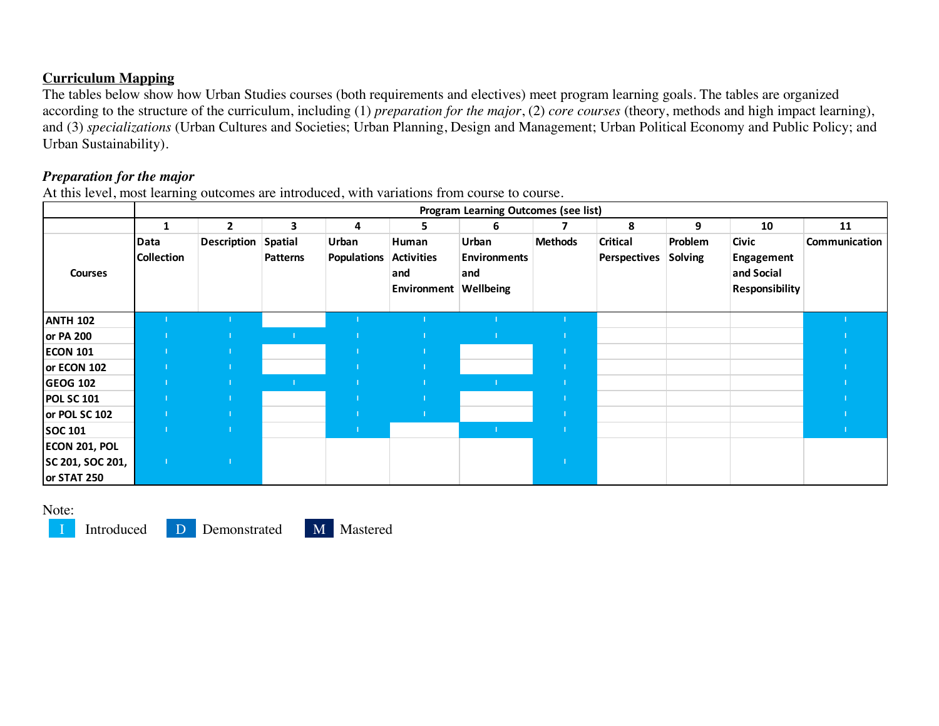## **Curriculum Mapping**

The tables below show how Urban Studies courses (both requirements and electives) meet program learning goals. The tables are organized according to the structure of the curriculum, including (1) *preparation for the major*, (2) *core courses* (theory, methods and high impact learning), and (3) *specializations* (Urban Cultures and Societies; Urban Planning, Design and Management; Urban Political Economy and Public Policy; and Urban Sustainability).

# *Preparation for the major*

At this level, most learning outcomes are introduced, with variations from course to course.

|                   | <b>Program Learning Outcomes (see list)</b> |                    |                                   |                             |                                                            |                                     |                |                                        |                    |                                                                   |               |
|-------------------|---------------------------------------------|--------------------|-----------------------------------|-----------------------------|------------------------------------------------------------|-------------------------------------|----------------|----------------------------------------|--------------------|-------------------------------------------------------------------|---------------|
|                   |                                             | $\mathbf{2}$       | 3                                 | 4                           | 5.                                                         | 6                                   |                | 8                                      | 9                  | 10                                                                | 11            |
| <b>Courses</b>    | Data<br><b>Collection</b>                   | <b>Description</b> | <b>Spatial</b><br><b>Patterns</b> | Urban<br><b>Populations</b> | Human<br><b>Activities</b><br>and<br>Environment Wellbeing | Urban<br><b>Environments</b><br>and | <b>Methods</b> | <b>Critical</b><br><b>Perspectives</b> | Problem<br>Solving | <b>Civic</b><br>Engagement<br>and Social<br><b>Responsibility</b> | Communication |
| <b>ANTH 102</b>   |                                             |                    |                                   |                             |                                                            |                                     |                |                                        |                    |                                                                   |               |
| or PA 200         |                                             |                    |                                   |                             |                                                            |                                     |                |                                        |                    |                                                                   |               |
| <b>ECON 101</b>   |                                             |                    |                                   |                             |                                                            |                                     |                |                                        |                    |                                                                   |               |
| or ECON 102       |                                             |                    |                                   |                             |                                                            |                                     |                |                                        |                    |                                                                   |               |
| <b>GEOG 102</b>   |                                             |                    |                                   |                             |                                                            |                                     |                |                                        |                    |                                                                   |               |
| <b>POL SC 101</b> |                                             |                    |                                   |                             |                                                            |                                     |                |                                        |                    |                                                                   |               |
| or POL SC 102     |                                             |                    |                                   |                             |                                                            |                                     |                |                                        |                    |                                                                   |               |
| <b>SOC 101</b>    |                                             |                    |                                   |                             |                                                            |                                     |                |                                        |                    |                                                                   |               |
| ECON 201, POL     |                                             |                    |                                   |                             |                                                            |                                     |                |                                        |                    |                                                                   |               |
| SC 201, SOC 201,  |                                             |                    |                                   |                             |                                                            |                                     |                |                                        |                    |                                                                   |               |
| or STAT 250       |                                             |                    |                                   |                             |                                                            |                                     |                |                                        |                    |                                                                   |               |

Note: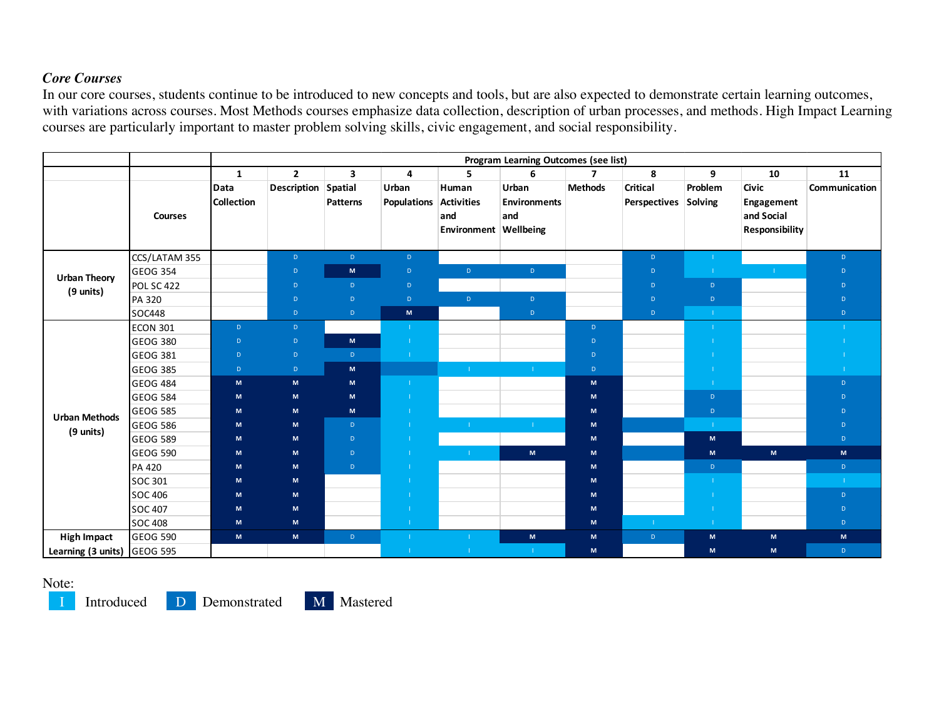## *Core Courses*

In our core courses, students continue to be introduced to new concepts and tools, but are also expected to demonstrate certain learning outcomes, with variations across courses. Most Methods courses emphasize data collection, description of urban processes, and methods. High Impact Learning courses are particularly important to master problem solving skills, civic engagement, and social responsibility.

|                             |                 | Program Learning Outcomes (see list) |                     |                 |                      |                                                            |                                     |                          |                                         |                     |                                                            |               |  |
|-----------------------------|-----------------|--------------------------------------|---------------------|-----------------|----------------------|------------------------------------------------------------|-------------------------------------|--------------------------|-----------------------------------------|---------------------|------------------------------------------------------------|---------------|--|
|                             |                 | $\mathbf{1}$                         | $\overline{2}$      | 3               | 4                    | 5                                                          | 6                                   | $\overline{\phantom{a}}$ | 8                                       | 9                   | 10                                                         | 11            |  |
|                             | <b>Courses</b>  | Data<br><b>Collection</b>            | Description Spatial | <b>Patterns</b> | Urban<br>Populations | Human<br><b>Activities</b><br>and<br>Environment Wellbeing | Urban<br><b>Environments</b><br>and | <b>Methods</b>           | <b>Critical</b><br>Perspectives Solving | Problem             | <b>Civic</b><br>Engagement<br>and Social<br>Responsibility | Communication |  |
|                             | CCS/LATAM 355   |                                      | D                   | D               | D                    |                                                            |                                     |                          | $\mathsf{D}$                            | $\mathbf{L}$        |                                                            | D             |  |
| <b>Urban Theory</b>         | <b>GEOG 354</b> |                                      | $\mathsf D$         | $\mathsf{M}$    | $\mathsf D$          | D                                                          | $\mathsf D$                         |                          | D                                       | -11                 | $\mathbf{L}$                                               | $\mathsf D$   |  |
| (9 units)                   | POL SC 422      |                                      | $\mathsf{D}$        | D.              | $\mathsf D$          |                                                            |                                     |                          | $\mathsf D$                             | $\mathsf D$         |                                                            | $\mathsf D$   |  |
|                             | PA 320          |                                      | $\mathsf D$         | D.              | $\mathsf D$          | D                                                          | $\mathsf D$                         |                          | $\mathsf D$                             | $\mathsf D$         |                                                            | D             |  |
|                             | <b>SOC448</b>   |                                      | $\mathsf{D}$        | D.              | $\mathsf{M}\xspace$  |                                                            | $\mathsf D$                         |                          | $\mathsf{D}$                            | $\mathbf{E}$        |                                                            | $\mathsf{D}$  |  |
|                             | <b>ECON 301</b> | $\mathsf{D}$                         | $\mathsf D$         |                 | -11                  |                                                            |                                     | D.                       |                                         |                     |                                                            | п.            |  |
|                             | <b>GEOG 380</b> | $\mathsf D$                          | $\mathsf D$         | $\mathsf{M}$    | - 11                 |                                                            |                                     | D.                       |                                         | -11                 |                                                            |               |  |
|                             | <b>GEOG 381</b> | $\mathsf{D}$                         | $\mathsf{D}$        | $\mathsf D$     | - 11                 |                                                            |                                     | D.                       |                                         | -11                 |                                                            |               |  |
|                             | <b>GEOG 385</b> | $\mathsf{D}$                         | D                   | M               |                      | $-1$                                                       | $\pm 1$                             | $\mathsf{D}$             |                                         | -11                 |                                                            | $\mathbf{I}$  |  |
|                             | GEOG 484        | $\mathsf{M}$                         | M                   | $\mathsf{M}$    | - 11                 |                                                            |                                     | ${\bf M}$                |                                         | -11                 |                                                            | $\mathsf D$   |  |
|                             | GEOG 584        | M                                    | M                   | M               | -11                  |                                                            |                                     | M                        |                                         | $\mathsf D$         |                                                            | $\mathsf D$   |  |
| <b>Urban Methods</b>        | <b>GEOG 585</b> | M                                    | $\mathsf{M}$        | M               | - 11                 |                                                            |                                     | ${\bf M}$                |                                         | $\mathsf D$         |                                                            | D             |  |
| (9 units)                   | <b>GEOG 586</b> | M                                    | M                   | $\mathsf D$     | -11                  |                                                            |                                     | ${\bf M}$                |                                         | $\mathbf{I}$        |                                                            | D             |  |
|                             | <b>GEOG 589</b> | M                                    | M                   | $\mathsf D$     | - 11                 |                                                            |                                     | ${\bf M}$                |                                         | M                   |                                                            | $\mathsf{D}$  |  |
|                             | GEOG 590        | M                                    | M                   | $\mathsf D$     | -11                  | $\mathbf{L}$                                               | M                                   | ${\bf M}$                |                                         | $\mathsf{M}\xspace$ | M                                                          | $\mathsf{M}$  |  |
|                             | <b>PA 420</b>   | M                                    | M                   | $\mathsf{D}$    | -11                  |                                                            |                                     | ${\bf M}$                |                                         | $\mathsf D$         |                                                            | $\mathsf D$   |  |
|                             | SOC 301         | M                                    | M                   |                 | -11                  |                                                            |                                     | M                        |                                         | $\mathbf{I}$        |                                                            | $\mathbf{L}$  |  |
|                             | <b>SOC 406</b>  | M                                    | M                   |                 | -11                  |                                                            |                                     | ${\bf M}$                |                                         | $\mathbf{I}$        |                                                            | $\mathsf D$   |  |
|                             | <b>SOC 407</b>  | M                                    | $\mathsf{M}$        |                 |                      |                                                            |                                     | ${\bf M}$                |                                         | $\mathbf{I}$        |                                                            | $\mathsf D$   |  |
|                             | <b>SOC 408</b>  | M                                    | M                   |                 | $\sim 10$            |                                                            |                                     | M                        | п.                                      | -11                 |                                                            | $\mathsf{D}$  |  |
| <b>High Impact</b>          | GEOG 590        | M                                    | M                   | $\mathsf{D}^+$  | -11                  |                                                            | M                                   | M                        | $\mathsf D$                             | ${\sf M}$           | $\mathsf{M}$                                               | $\mathsf{M}$  |  |
| Learning (3 units) GEOG 595 |                 |                                      |                     |                 | -13                  | T.                                                         |                                     | ${\bf M}$                |                                         | M                   | ${\bf M}$                                                  | $\mathsf D$   |  |

#### Note: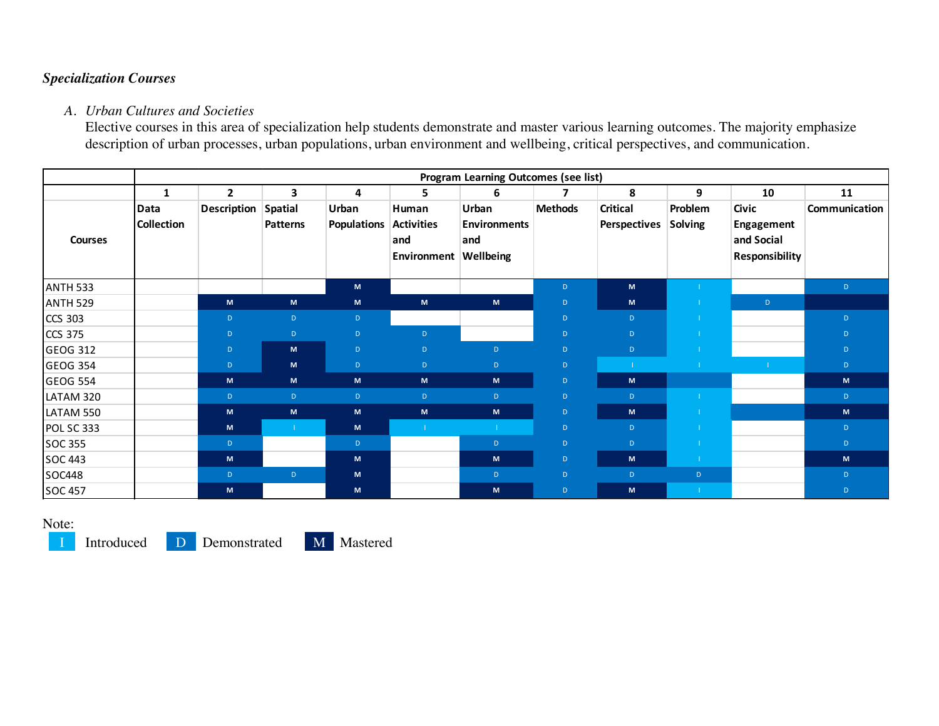## *Specialization Courses*

## *A. Urban Cultures and Societies*

Elective courses in this area of specialization help students demonstrate and master various learning outcomes. The majority emphasize description of urban processes, urban populations, urban environment and wellbeing, critical perspectives, and communication.

|                   | <b>Program Learning Outcomes (see list)</b> |                    |                                   |                             |                                                  |                                                  |                |                                        |                    |                                                                          |               |  |
|-------------------|---------------------------------------------|--------------------|-----------------------------------|-----------------------------|--------------------------------------------------|--------------------------------------------------|----------------|----------------------------------------|--------------------|--------------------------------------------------------------------------|---------------|--|
|                   | $\mathbf{1}$                                | $\overline{2}$     | 3                                 | 4                           | 5.                                               | 6                                                | 7              | 8                                      | 9                  | 10                                                                       | 11            |  |
| <b>Courses</b>    | Data<br><b>Collection</b>                   | <b>Description</b> | <b>Spatial</b><br><b>Patterns</b> | Urban<br><b>Populations</b> | Human<br><b>Activities</b><br>and<br>Environment | Urban<br><b>Environments</b><br>and<br>Wellbeing | <b>Methods</b> | <b>Critical</b><br><b>Perspectives</b> | Problem<br>Solving | <b>Civic</b><br><b>Engagement</b><br>and Social<br><b>Responsibility</b> | Communication |  |
| <b>ANTH 533</b>   |                                             |                    |                                   | M                           |                                                  |                                                  | D              | M                                      |                    |                                                                          | D.            |  |
| <b>ANTH 529</b>   |                                             | M                  | M                                 | M                           | M                                                | M                                                | D              | M                                      |                    | $\mathsf{D}$                                                             |               |  |
| <b>CCS 303</b>    |                                             | $\mathsf D$        | $\mathsf{D}$                      | D                           |                                                  |                                                  | $\mathsf D$    | $\mathsf{D}$                           |                    |                                                                          | D             |  |
| <b>CCS 375</b>    |                                             | $\mathsf{D}$       | $\mathsf{D}$                      | D                           | D                                                |                                                  | D              | D                                      |                    |                                                                          | D             |  |
| <b>GEOG 312</b>   |                                             | $\mathsf D$        | M                                 | D.                          | $\mathsf{D}$                                     | $\mathsf D$                                      | $\mathsf D$    | D                                      |                    |                                                                          | D.            |  |
| <b>GEOG 354</b>   |                                             | $\mathsf{D}$       | M                                 | D.                          | $\mathbf{D}$                                     | D                                                | D              |                                        |                    |                                                                          | D             |  |
| <b>GEOG 554</b>   |                                             | M                  | M                                 | M                           | M                                                | M                                                | $\mathsf D$    | M                                      |                    |                                                                          | M             |  |
| LATAM 320         |                                             | $\mathsf{D}$       | D                                 | D.                          | D                                                | D                                                | $\mathsf D$    | D                                      |                    |                                                                          | D             |  |
| LATAM 550         |                                             | M                  | M                                 | M                           | M                                                | M                                                | $\mathsf{D}$   | M                                      |                    |                                                                          | M             |  |
| <b>POL SC 333</b> |                                             | M                  |                                   | M                           |                                                  |                                                  | $\mathsf D$    | D                                      |                    |                                                                          | D.            |  |
| <b>SOC 355</b>    |                                             | $\mathbf{D}$       |                                   | D                           |                                                  | $\mathsf D$                                      | $\mathsf D$    | D                                      |                    |                                                                          | D.            |  |
| <b>SOC 443</b>    |                                             | M                  |                                   | M                           |                                                  | M                                                | $\mathsf{D}$   | M                                      |                    |                                                                          | M             |  |
| <b>SOC448</b>     |                                             | $\mathsf D$        | D                                 | M                           |                                                  | D                                                | $\mathsf D$    | D                                      | D                  |                                                                          | D.            |  |
| <b>SOC 457</b>    |                                             | M                  |                                   | M                           |                                                  | M                                                | $\mathsf{D}$   | M                                      | -1                 |                                                                          | D             |  |

Note:

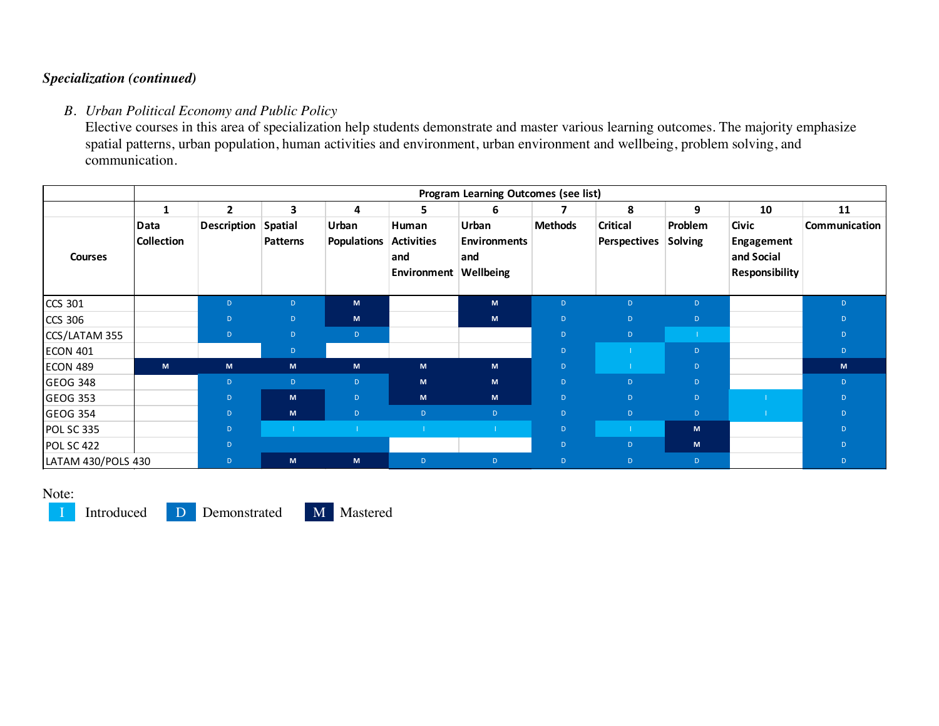## *Specialization (continued)*

## *B. Urban Political Economy and Public Policy*

Elective courses in this area of specialization help students demonstrate and master various learning outcomes. The majority emphasize spatial patterns, urban population, human activities and environment, urban environment and wellbeing, problem solving, and communication.

|                    | Program Learning Outcomes (see list) |                    |                                   |                             |                                                            |                                     |                |                                        |                    |                                                                   |               |  |
|--------------------|--------------------------------------|--------------------|-----------------------------------|-----------------------------|------------------------------------------------------------|-------------------------------------|----------------|----------------------------------------|--------------------|-------------------------------------------------------------------|---------------|--|
|                    |                                      | $\mathbf{2}$       | 3                                 | 4                           | 5.                                                         | 6                                   |                | 8                                      | 9                  | 10                                                                | 11            |  |
| <b>Courses</b>     | Data<br><b>Collection</b>            | <b>Description</b> | <b>Spatial</b><br><b>Patterns</b> | Urban<br><b>Populations</b> | Human<br><b>Activities</b><br>and<br>Environment Wellbeing | Urban<br><b>Environments</b><br>and | <b>Methods</b> | <b>Critical</b><br><b>Perspectives</b> | Problem<br>Solving | <b>Civic</b><br>Engagement<br>and Social<br><b>Responsibility</b> | Communication |  |
| <b>CCS 301</b>     |                                      | D                  | D                                 | M                           |                                                            | M                                   | D              | D.                                     | $\mathsf{D}$       |                                                                   | D.            |  |
| <b>CCS 306</b>     |                                      | D                  | $\mathsf{D}$                      | M                           |                                                            | M                                   | D              | D.                                     | $\mathsf{D}$       |                                                                   | D             |  |
| CCS/LATAM 355      |                                      | $\mathsf D$        | $\mathsf{D}$                      | D.                          |                                                            |                                     | $\mathsf D$    | D                                      | -11                |                                                                   | D             |  |
| <b>ECON 401</b>    |                                      |                    | $\mathsf D$                       |                             |                                                            |                                     | $\mathsf D$    |                                        | $\mathsf{D}$       |                                                                   | D             |  |
| <b>ECON 489</b>    | M                                    | M                  | M                                 | M                           | M                                                          | M                                   | $\mathsf D$    |                                        | $\mathsf{D}$       |                                                                   | M             |  |
| <b>GEOG 348</b>    |                                      | D                  | $\mathsf{D}$                      | D.                          | M                                                          | M                                   | D              | D                                      | $\mathsf{D}$       |                                                                   | D             |  |
| <b>GEOG 353</b>    |                                      | D                  | M                                 | D                           | M                                                          | M                                   | $\mathsf D$    | D                                      | $\mathsf{D}$       |                                                                   | D             |  |
| <b>GEOG 354</b>    |                                      | D                  | M                                 | D                           | $\mathbf{D}$                                               | $\mathsf{D}$                        | D              | D.                                     | $\mathsf{D}$       |                                                                   | D             |  |
| POL SC 335         |                                      | D                  |                                   |                             |                                                            |                                     | $\mathsf{D}$   |                                        | M                  |                                                                   | D.            |  |
| <b>POL SC 422</b>  |                                      | D                  |                                   |                             |                                                            |                                     | D              | D                                      | M                  |                                                                   | D             |  |
| LATAM 430/POLS 430 |                                      | D                  | M                                 | M                           | $\mathsf{D}$                                               | $\mathsf D$                         | D              | D                                      | $\mathsf{D}$       |                                                                   | D             |  |

#### Note:

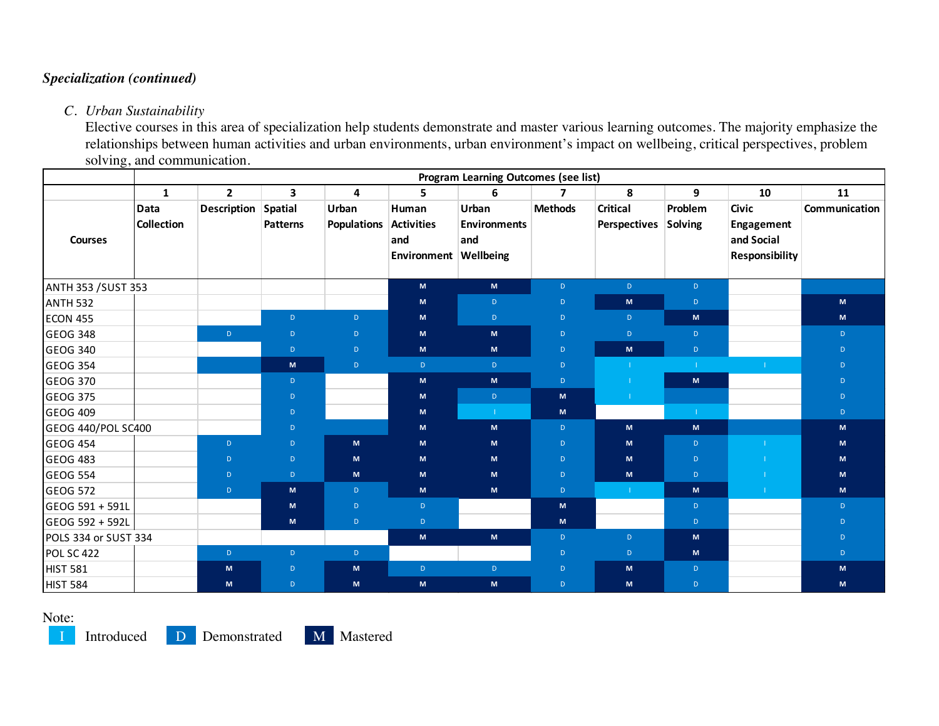# *Specialization (continued)*

### *C. Urban Sustainability*

Elective courses in this area of specialization help students demonstrate and master various learning outcomes. The majority emphasize the relationships between human activities and urban environments, urban environment's impact on wellbeing, critical perspectives, problem solving, and communication.

|                            | Program Learning Outcomes (see list) |                    |                                   |                             |                                                            |                                                                                                            |                |                                        |                    |                                                                          |               |  |  |
|----------------------------|--------------------------------------|--------------------|-----------------------------------|-----------------------------|------------------------------------------------------------|------------------------------------------------------------------------------------------------------------|----------------|----------------------------------------|--------------------|--------------------------------------------------------------------------|---------------|--|--|
|                            | $\mathbf{1}$                         | $\overline{2}$     | 3                                 | 4                           | 5                                                          | 6                                                                                                          | $\overline{ }$ | 8                                      | 9                  | 10                                                                       | 11            |  |  |
| <b>Courses</b>             | <b>Data</b><br><b>Collection</b>     | <b>Description</b> | <b>Spatial</b><br><b>Patterns</b> | Urban<br><b>Populations</b> | Human<br><b>Activities</b><br>and<br>Environment Wellbeing | Urban<br><b>Environments</b><br>and                                                                        | <b>Methods</b> | <b>Critical</b><br><b>Perspectives</b> | Problem<br>Solving | <b>Civic</b><br><b>Engagement</b><br>and Social<br><b>Responsibility</b> | Communication |  |  |
| <b>ANTH 353 / SUST 353</b> |                                      |                    |                                   |                             | M                                                          | M                                                                                                          | D.             | D                                      | D                  |                                                                          |               |  |  |
| <b>ANTH 532</b>            |                                      |                    |                                   |                             | M                                                          | D.                                                                                                         | D              | M                                      | D.                 |                                                                          | M             |  |  |
| <b>ECON 455</b>            |                                      |                    | $\mathsf{D}$                      | D                           | M                                                          | D.                                                                                                         | $\mathsf D$    | $\mathsf{D}$                           | M                  |                                                                          | M             |  |  |
| <b>GEOG 348</b>            |                                      | $\mathsf{D}$       | $\mathsf D$                       | $\mathsf D$                 | ${\sf M}$                                                  | M                                                                                                          | D.             | $\mathsf{D}$                           | $\mathsf{D}$       |                                                                          | D.            |  |  |
| GEOG 340                   |                                      |                    | $\mathsf D$                       | $\mathsf{D}$                | M                                                          | M                                                                                                          | $\mathsf D$    | M                                      | $\mathsf{D}^-$     |                                                                          | D.            |  |  |
| GEOG 354                   |                                      |                    | M                                 | $\mathsf{D}$                | $\mathsf D$                                                | D                                                                                                          | D              | T.                                     | T.                 | $\mathbb{R}^n$                                                           | D.            |  |  |
| GEOG 370                   |                                      |                    | $\mathsf{D}$                      |                             | M                                                          | M                                                                                                          | D.             | -11                                    | M                  |                                                                          | D.            |  |  |
| GEOG 375                   |                                      |                    | $\mathsf D$                       |                             | M                                                          | D                                                                                                          | M              | $\mathbf{I}$                           |                    |                                                                          | D.            |  |  |
| <b>GEOG 409</b>            |                                      |                    | $\mathsf D$                       |                             | M                                                          | $\mathbf{L}$                                                                                               | M              |                                        | $\mathbf{1}$ .     |                                                                          | D             |  |  |
| GEOG 440/POL SC400         |                                      |                    | $\mathsf{D}$                      |                             | M                                                          | M                                                                                                          | D              | M                                      | M                  |                                                                          | M             |  |  |
| <b>GEOG 454</b>            |                                      | D                  | $\mathsf{D}$                      | M                           | M                                                          | M                                                                                                          | D              | ${\sf M}$                              | D.                 |                                                                          | M             |  |  |
| <b>GEOG 483</b>            |                                      | $\mathsf{D}$       | $\mathsf{D}$                      | M                           | M                                                          | M                                                                                                          | $\mathsf D$    | ${\sf M}$                              | $\mathsf{D}$       |                                                                          | M             |  |  |
| <b>GEOG 554</b>            |                                      | $\mathsf D$        | D                                 | M                           | M                                                          | M                                                                                                          | D              | M                                      | D.                 |                                                                          | M             |  |  |
| <b>GEOG 572</b>            |                                      | $\mathsf{D}$       | M                                 | D.                          | M                                                          | M                                                                                                          | D.             | $\mathbf{H}$                           | M                  | -11                                                                      | M             |  |  |
| GEOG 591 + 591L            |                                      |                    | $\mathsf{M}\xspace$               | $\mathsf{D}$                | $\mathsf D$                                                |                                                                                                            | $\mathsf{M}$   |                                        | D.                 |                                                                          | D.            |  |  |
| GEOG 592 + 592L            |                                      |                    | M                                 | $\mathsf{D}$                | $\mathsf{D}$                                               |                                                                                                            | M              |                                        | D.                 |                                                                          | D             |  |  |
| POLS 334 or SUST 334       |                                      |                    |                                   |                             | M                                                          | $\mathsf{M}% _{T}=\mathsf{M}_{T}\!\left( a,b\right) ,\ \mathsf{M}_{T}=\mathsf{M}_{T}\!\left( a,b\right) ,$ | $\mathsf D$    | $\mathsf{D}$                           | M                  |                                                                          | D.            |  |  |
| POL SC 422                 |                                      | D                  | $\mathsf D$                       | $\mathsf{D}$                |                                                            |                                                                                                            | D.             | $\mathsf{D}$                           | M                  |                                                                          | D.            |  |  |
| <b>HIST 581</b>            |                                      | M                  | $\mathsf D$                       | M                           | D                                                          | D                                                                                                          | $\mathsf D$    | M                                      | D                  |                                                                          | M             |  |  |
| <b>HIST 584</b>            |                                      | M                  | $\mathsf{D}$                      | M                           | ${\sf M}$                                                  | M                                                                                                          | D.             | M                                      | D.                 |                                                                          | M             |  |  |

Note: